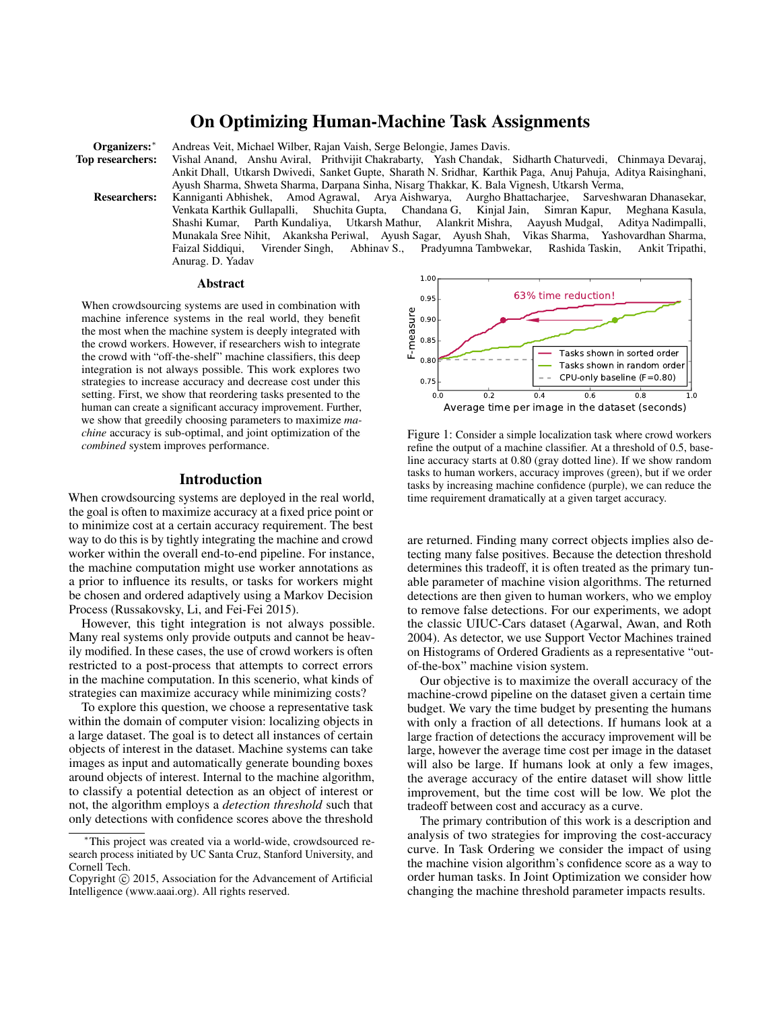# On Optimizing Human-Machine Task Assignments

Organizers: \* Andreas Veit, Michael Wilber, Rajan Vaish, Serge Belongie, James Davis.<br>Top researchers: Vishal Anand, Anshu Aviral, Prithvijit Chakrabarty, Yash Chandak,

Vishal Anand, Anshu Aviral, Prithvijit Chakrabarty, Yash Chandak, Sidharth Chaturvedi, Chinmaya Devaraj, Ankit Dhall, Utkarsh Dwivedi, Sanket Gupte, Sharath N. Sridhar, Karthik Paga, Anuj Pahuja, Aditya Raisinghani, Ayush Sharma, Shweta Sharma, Darpana Sinha, Nisarg Thakkar, K. Bala Vignesh, Utkarsh Verma,

Researchers: Kanniganti Abhishek, Amod Agrawal, Arya Aishwarya, Aurgho Bhattacharjee, Sarveshwaran Dhanasekar, Venkata Karthik Gullapalli, Shuchita Gupta, Chandana G, Kinjal Jain, Simran Kapur, Meghana Kasula, Parth Kundaliya, Utkarsh Mathur, Alankrit Mishra, Munakala Sree Nihit, Akanksha Periwal, Ayush Sagar, Ayush Shah, Vikas Sharma, Yashovardhan Sharma, Faizal Siddiqui, Virender Singh, Abhinav S., Pradyumna Tambwekar, Rashida Taskin, Ankit Tripathi, Anurag. D. Yadav

#### Abstract

When crowdsourcing systems are used in combination with machine inference systems in the real world, they benefit the most when the machine system is deeply integrated with the crowd workers. However, if researchers wish to integrate the crowd with "off-the-shelf" machine classifiers, this deep integration is not always possible. This work explores two strategies to increase accuracy and decrease cost under this setting. First, we show that reordering tasks presented to the human can create a significant accuracy improvement. Further, we show that greedily choosing parameters to maximize *machine* accuracy is sub-optimal, and joint optimization of the *combined* system improves performance.

#### Introduction

When crowdsourcing systems are deployed in the real world, the goal is often to maximize accuracy at a fixed price point or to minimize cost at a certain accuracy requirement. The best way to do this is by tightly integrating the machine and crowd worker within the overall end-to-end pipeline. For instance, the machine computation might use worker annotations as a prior to influence its results, or tasks for workers might be chosen and ordered adaptively using a Markov Decision Process (Russakovsky, Li, and Fei-Fei 2015).

However, this tight integration is not always possible. Many real systems only provide outputs and cannot be heavily modified. In these cases, the use of crowd workers is often restricted to a post-process that attempts to correct errors in the machine computation. In this scenerio, what kinds of strategies can maximize accuracy while minimizing costs?

To explore this question, we choose a representative task within the domain of computer vision: localizing objects in a large dataset. The goal is to detect all instances of certain objects of interest in the dataset. Machine systems can take images as input and automatically generate bounding boxes around objects of interest. Internal to the machine algorithm, to classify a potential detection as an object of interest or not, the algorithm employs a *detection threshold* such that only detections with confidence scores above the threshold



Figure 1: Consider a simple localization task where crowd workers refine the output of a machine classifier. At a threshold of 0.5, baseline accuracy starts at 0.80 (gray dotted line). If we show random tasks to human workers, accuracy improves (green), but if we order tasks by increasing machine confidence (purple), we can reduce the time requirement dramatically at a given target accuracy.

are returned. Finding many correct objects implies also detecting many false positives. Because the detection threshold determines this tradeoff, it is often treated as the primary tunable parameter of machine vision algorithms. The returned detections are then given to human workers, who we employ to remove false detections. For our experiments, we adopt the classic UIUC-Cars dataset (Agarwal, Awan, and Roth 2004). As detector, we use Support Vector Machines trained on Histograms of Ordered Gradients as a representative "outof-the-box" machine vision system.

Our objective is to maximize the overall accuracy of the machine-crowd pipeline on the dataset given a certain time budget. We vary the time budget by presenting the humans with only a fraction of all detections. If humans look at a large fraction of detections the accuracy improvement will be large, however the average time cost per image in the dataset will also be large. If humans look at only a few images, the average accuracy of the entire dataset will show little improvement, but the time cost will be low. We plot the tradeoff between cost and accuracy as a curve.

The primary contribution of this work is a description and analysis of two strategies for improving the cost-accuracy curve. In Task Ordering we consider the impact of using the machine vision algorithm's confidence score as a way to order human tasks. In Joint Optimization we consider how changing the machine threshold parameter impacts results.

This project was created via a world-wide, crowdsourced research process initiated by UC Santa Cruz, Stanford University, and Cornell Tech.

Copyright  $\odot$  2015, Association for the Advancement of Artificial Intelligence (www.aaai.org). All rights reserved.